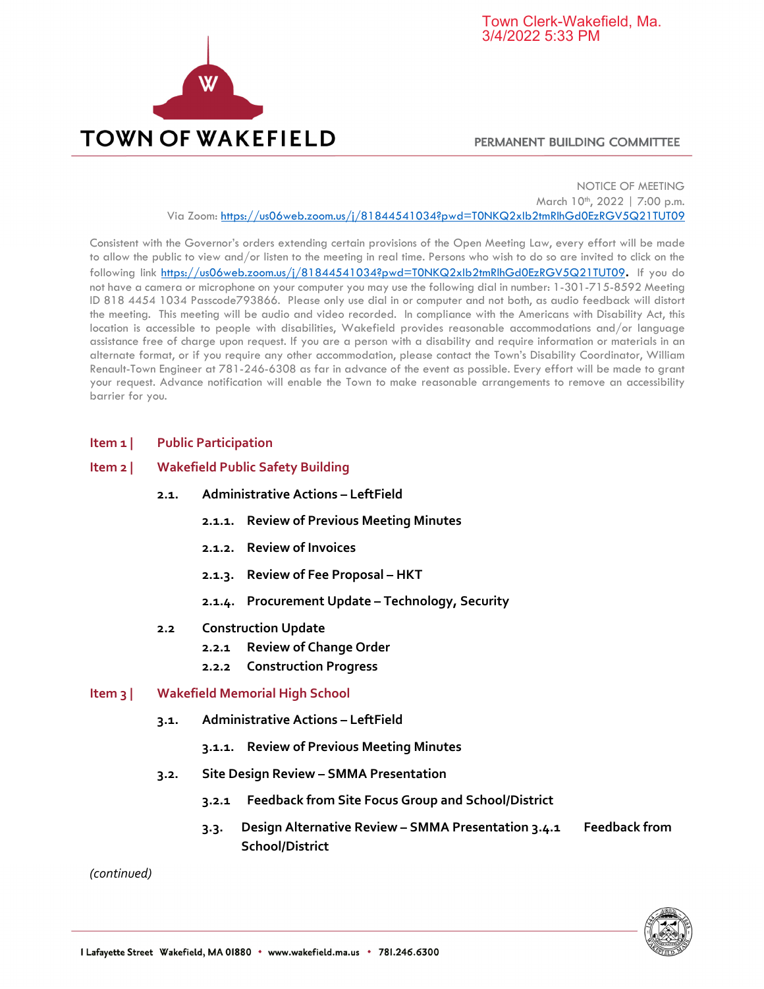

## PERMANENT BUILDING COMMITTEE

NOTICE OF MEETING March 10<sup>th</sup>, 2022 | 7:00 p.m. Via Zoom: https://us06web.zoom.us/j/81844541034?pwd=T0NKQ2xIb2tmRlhGd0EzRGV5Q21TUT09

Consistent with the Governor's orders extending certain provisions of the Open Meeting Law, every effort will be made to allow the public to view and/or listen to the meeting in real time. Persons who wish to do so are invited to click on the following link https://us06web.zoom.us/j/81844541034?pwd=T0NKQ2xIb2tmRlhGd0EzRGV5Q21TUT09**.** If you do not have a camera or microphone on your computer you may use the following dial in number: 1-301-715-8592 Meeting ID 818 4454 1034 Passcode793866. Please only use dial in or computer and not both, as audio feedback will distort the meeting. This meeting will be audio and video recorded. In compliance with the Americans with Disability Act, this location is accessible to people with disabilities, Wakefield provides reasonable accommodations and/or language assistance free of charge upon request. If you are a person with a disability and require information or materials in an alternate format, or if you require any other accommodation, please contact the Town's Disability Coordinator, William Renault-Town Engineer at 781-246-6308 as far in advance of the event as possible. Every effort will be made to grant your request. Advance notification will enable the Town to make reasonable arrangements to remove an accessibility barrier for you.

## **Item 1 | Public Participation**

## **Item 2 | Wakefield Public Safety Building**

- **2.1. Administrative Actions – LeftField**
	- **2.1.1. Review of Previous Meeting Minutes**
	- **2.1.2. Review of Invoices**
	- **2.1.3. Review of Fee Proposal – HKT**
	- **2.1.4. Procurement Update – Technology, Security**
- **2.2 Construction Update**
	- **2.2.1 Review of Change Order**
	- **2.2.2 Construction Progress**

## **Item 3 | Wakefield Memorial High School**

- **3.1. Administrative Actions – LeftField**
	- **3.1.1. Review of Previous Meeting Minutes**
- **3.2. Site Design Review – SMMA Presentation**
	- **3.2.1 Feedback from Site Focus Group and School/District**
	- **3.3. Design Alternative Review – SMMA Presentation 3.4.1 Feedback from School/District**

*(continued)*